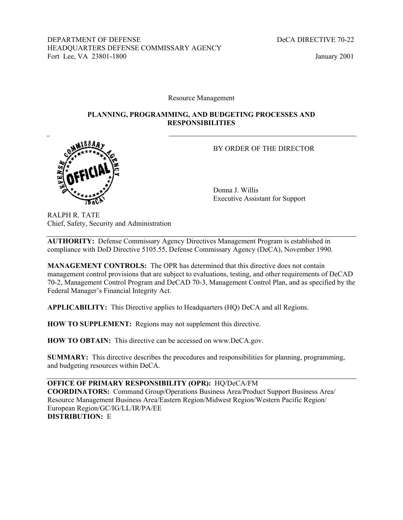DEPARTMENT OF DEFENSE DECA DIRECTIVE 70-22 HEADQUARTERS DEFENSE COMMISSARY AGENCY Fort Lee, VA 23801-1800 January 2001

Resource Management

### **PLANNING, PROGRAMMING, AND BUDGETING PROCESSES AND RESPONSIBILITIES**



 Donna J. Willis Executive Assistant for Support

RALPH R. TATE Chief, Safety, Security and Administration

**AUTHORITY:** Defense Commissary Agency Directives Management Program is established in compliance with DoD Directive 5105.55, Defense Commissary Agency (DeCA), November 1990.

**MANAGEMENT CONTROLS:** The OPR has determined that this directive does not contain management control provisions that are subject to evaluations, testing, and other requirements of DeCAD 70-2, Management Control Program and DeCAD 70-3, Management Control Plan, and as specified by the Federal Manager's Financial Integrity Act.

**APPLICABILITY:** This Directive applies to Headquarters (HQ) DeCA and all Regions.

**HOW TO SUPPLEMENT:** Regions may not supplement this directive.

**HOW TO OBTAIN:** This directive can be accessed on www.DeCA.gov.

**SUMMARY:** This directive describes the procedures and responsibilities for planning, programming, and budgeting resources within DeCA.

**OFFICE OF PRIMARY RESPONSIBILITY (OPR):** HQ/DeCA/FM **COORDINATORS:** Command Group/Operations Business Area/Product Support Business Area/ Resource Management Business Area/Eastern Region/Midwest Region/Western Pacific Region/ European Region/GC/IG/LL/IR/PA/EE **DISTRIBUTION:** E

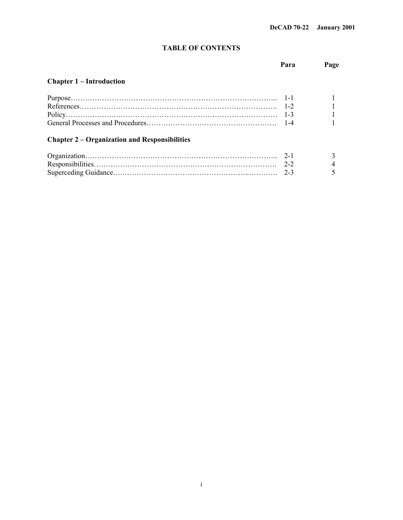# **TABLE OF CONTENTS**

|                                                      | Para    | Page |
|------------------------------------------------------|---------|------|
| <b>Chapter 1 – Introduction</b>                      |         |      |
|                                                      |         |      |
|                                                      |         |      |
|                                                      | $1 - 3$ |      |
|                                                      |         |      |
| <b>Chapter 2 – Organization and Responsibilities</b> |         |      |
|                                                      | $2 - 1$ |      |
|                                                      | $2 - 2$ |      |
|                                                      | $2 - 3$ |      |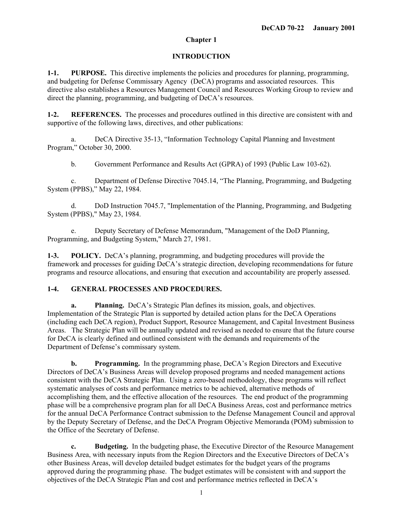# **Chapter 1**

# **INTRODUCTION**

**1-1. PURPOSE.** This directive implements the policies and procedures for planning, programming, and budgeting for Defense Commissary Agency (DeCA) programs and associated resources. This directive also establishes a Resources Management Council and Resources Working Group to review and direct the planning, programming, and budgeting of DeCA's resources.

**1-2. REFERENCES.** The processes and procedures outlined in this directive are consistent with and supportive of the following laws, directives, and other publications:

a. DeCA Directive 35-13, "Information Technology Capital Planning and Investment Program," October 30, 2000.

b. Government Performance and Results Act (GPRA) of 1993 (Public Law 103-62).

c. Department of Defense Directive 7045.14, "The Planning, Programming, and Budgeting System (PPBS)," May 22, 1984.

d. DoD Instruction 7045.7, "Implementation of the Planning, Programming, and Budgeting System (PPBS)," May 23, 1984.

e. Deputy Secretary of Defense Memorandum, "Management of the DoD Planning, Programming, and Budgeting System," March 27, 1981.

**1-3. POLICY.** DeCA's planning, programming, and budgeting procedures will provide the framework and processes for guiding DeCA's strategic direction, developing recommendations for future programs and resource allocations, and ensuring that execution and accountability are properly assessed.

## **1-4. GENERAL PROCESSES AND PROCEDURES.**

**a. Planning.** DeCA's Strategic Plan defines its mission, goals, and objectives. Implementation of the Strategic Plan is supported by detailed action plans for the DeCA Operations (including each DeCA region), Product Support, Resource Management, and Capital Investment Business Areas. The Strategic Plan will be annually updated and revised as needed to ensure that the future course for DeCA is clearly defined and outlined consistent with the demands and requirements of the Department of Defense's commissary system.

**b. Programming.** In the programming phase, DeCA's Region Directors and Executive Directors of DeCA's Business Areas will develop proposed programs and needed management actions consistent with the DeCA Strategic Plan. Using a zero-based methodology, these programs will reflect systematic analyses of costs and performance metrics to be achieved, alternative methods of accomplishing them, and the effective allocation of the resources. The end product of the programming phase will be a comprehensive program plan for all DeCA Business Areas, cost and performance metrics for the annual DeCA Performance Contract submission to the Defense Management Council and approval by the Deputy Secretary of Defense, and the DeCA Program Objective Memoranda (POM) submission to the Office of the Secretary of Defense.

**c. Budgeting.** In the budgeting phase, the Executive Director of the Resource Management Business Area, with necessary inputs from the Region Directors and the Executive Directors of DeCA's other Business Areas, will develop detailed budget estimates for the budget years of the programs approved during the programming phase. The budget estimates will be consistent with and support the objectives of the DeCA Strategic Plan and cost and performance metrics reflected in DeCA's

1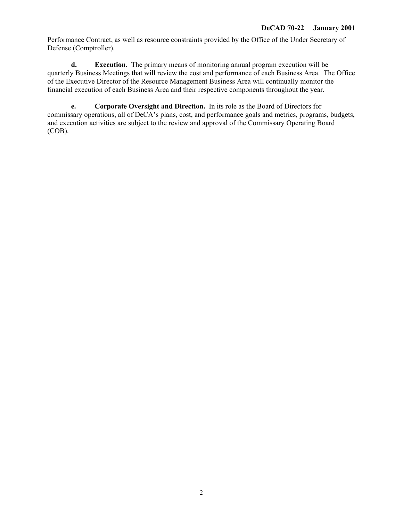Performance Contract, as well as resource constraints provided by the Office of the Under Secretary of Defense (Comptroller).

**d. Execution.** The primary means of monitoring annual program execution will be quarterly Business Meetings that will review the cost and performance of each Business Area. The Office of the Executive Director of the Resource Management Business Area will continually monitor the financial execution of each Business Area and their respective components throughout the year.

**e. Corporate Oversight and Direction.** In its role as the Board of Directors for commissary operations, all of DeCA's plans, cost, and performance goals and metrics, programs, budgets, and execution activities are subject to the review and approval of the Commissary Operating Board (COB).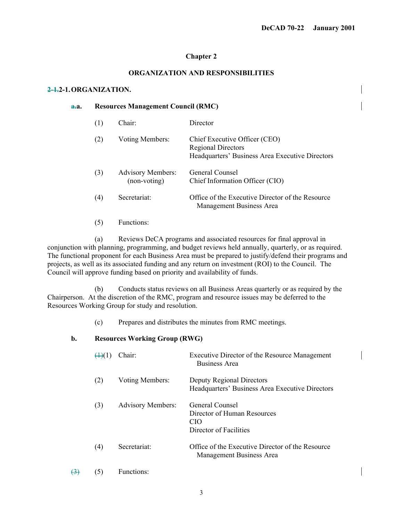## **Chapter 2**

# **ORGANIZATION AND RESPONSIBILITIES**

### **2-1.2-1. ORGANIZATION.**

#### **a.a. Resources Management Council (RMC)**

| (1) | Chair:                                   | Director                                                                                                      |
|-----|------------------------------------------|---------------------------------------------------------------------------------------------------------------|
| (2) | Voting Members:                          | Chief Executive Officer (CEO)<br><b>Regional Directors</b><br>Headquarters' Business Area Executive Directors |
| (3) | <b>Advisory Members:</b><br>(non-voting) | General Counsel<br>Chief Information Officer (CIO)                                                            |
| (4) | Secretariat:                             | Office of the Executive Director of the Resource<br>Management Business Area                                  |

(5) Functions:

 (a) Reviews DeCA programs and associated resources for final approval in conjunction with planning, programming, and budget reviews held annually, quarterly, or as required. The functional proponent for each Business Area must be prepared to justify/defend their programs and projects, as well as its associated funding and any return on investment (ROI) to the Council. The Council will approve funding based on priority and availability of funds.

(b) Conducts status reviews on all Business Areas quarterly or as required by the Chairperson. At the discretion of the RMC, program and resource issues may be deferred to the Resources Working Group for study and resolution.

(c) Prepares and distributes the minutes from RMC meetings.

### **b. Resources Working Group (RWG)**

|     | Chair:                   | Executive Director of the Resource Management<br>Business Area                              |
|-----|--------------------------|---------------------------------------------------------------------------------------------|
| (2) | Voting Members:          | Deputy Regional Directors<br>Headquarters' Business Area Executive Directors                |
| (3) | <b>Advisory Members:</b> | General Counsel<br>Director of Human Resources<br>CIO <sup></sup><br>Director of Facilities |
| (4) | Secretariat:             | Office of the Executive Director of the Resource<br>Management Business Area                |

 $(3)$  (5) Functions: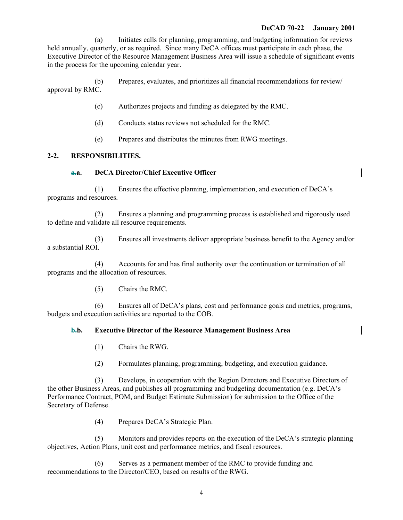### **DeCAD 70-22 January 2001**

(a) Initiates calls for planning, programming, and budgeting information for reviews held annually, quarterly, or as required. Since many DeCA offices must participate in each phase, the Executive Director of the Resource Management Business Area will issue a schedule of significant events in the process for the upcoming calendar year.

(b) Prepares, evaluates, and prioritizes all financial recommendations for review/ approval by RMC.

- (c) Authorizes projects and funding as delegated by the RMC.
- (d) Conducts status reviews not scheduled for the RMC.
- (e) Prepares and distributes the minutes from RWG meetings.

## **2-2. RESPONSIBILITIES.**

### **a.a. DeCA Director/Chief Executive Officer**

(1) Ensures the effective planning, implementation, and execution of DeCA's programs and resources.

(2) Ensures a planning and programming process is established and rigorously used to define and validate all resource requirements.

(3) Ensures all investments deliver appropriate business benefit to the Agency and/or a substantial ROI.

(4) Accounts for and has final authority over the continuation or termination of all programs and the allocation of resources.

(5) Chairs the RMC.

(6) Ensures all of DeCA's plans, cost and performance goals and metrics, programs, budgets and execution activities are reported to the COB.

# **b.b. Executive Director of the Resource Management Business Area**

- (1) Chairs the RWG.
- (2) Formulates planning, programming, budgeting, and execution guidance.

(3) Develops, in cooperation with the Region Directors and Executive Directors of the other Business Areas, and publishes all programming and budgeting documentation (e.g. DeCA's Performance Contract, POM, and Budget Estimate Submission) for submission to the Office of the Secretary of Defense.

(4) Prepares DeCA's Strategic Plan.

(5) Monitors and provides reports on the execution of the DeCA's strategic planning objectives, Action Plans, unit cost and performance metrics, and fiscal resources.

(6) Serves as a permanent member of the RMC to provide funding and recommendations to the Director/CEO, based on results of the RWG.